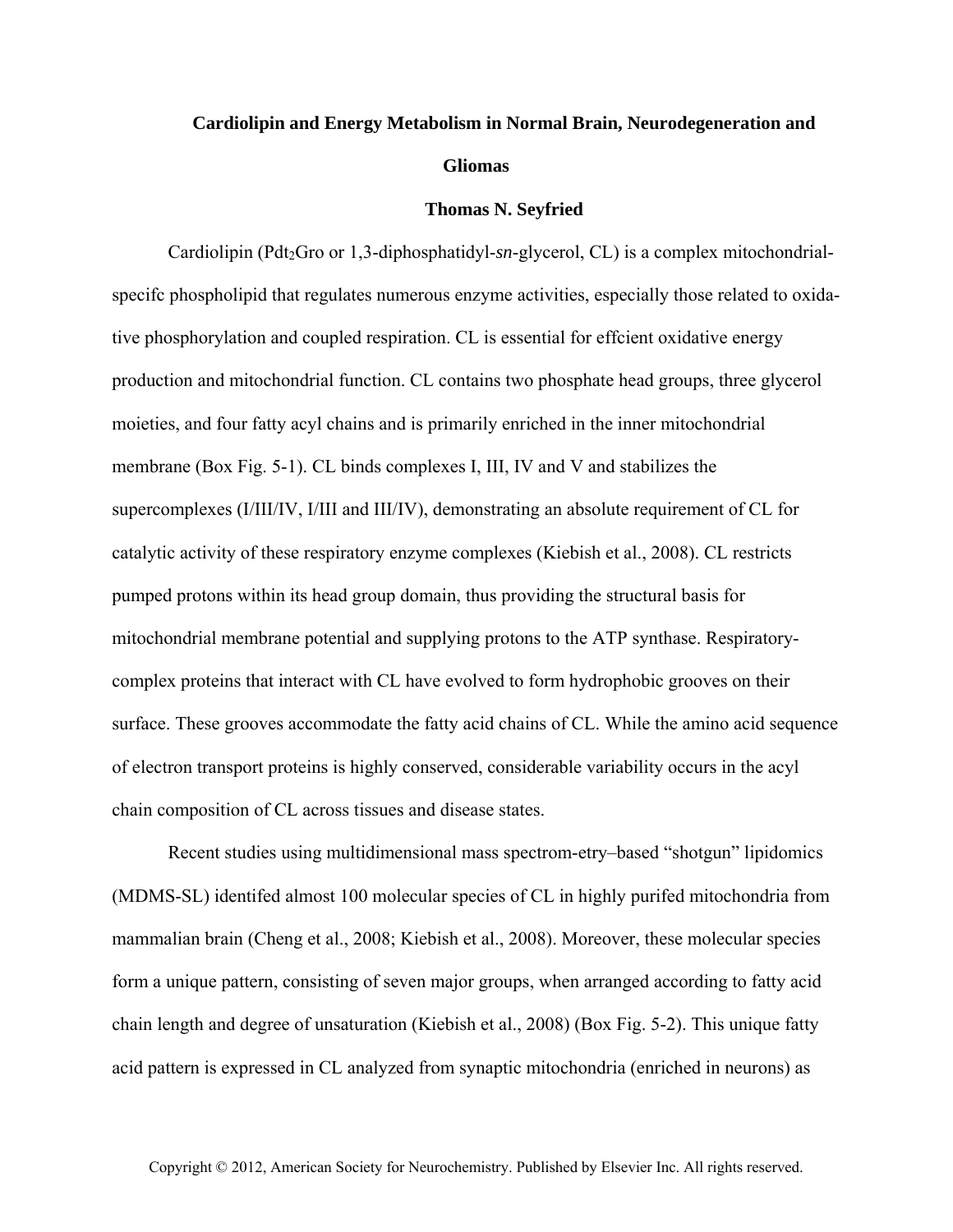## **Cardiolipin and Energy Metabolism in Normal Brain, Neurodegeneration and Gliomas**

## **Thomas N. Seyfried**

Cardiolipin (Pdt<sub>2</sub>Gro or 1,3-diphosphatidyl-*sn*-glycerol, CL) is a complex mitochondrialspecifc phospholipid that regulates numerous enzyme activities, especially those related to oxidative phosphorylation and coupled respiration. CL is essential for effcient oxidative energy production and mitochondrial function. CL contains two phosphate head groups, three glycerol moieties, and four fatty acyl chains and is primarily enriched in the inner mitochondrial membrane (Box Fig. 5-1). CL binds complexes I, III, IV and V and stabilizes the supercomplexes (I/III/IV, I/III and III/IV), demonstrating an absolute requirement of CL for catalytic activity of these respiratory enzyme complexes (Kiebish et al., 2008). CL restricts pumped protons within its head group domain, thus providing the structural basis for mitochondrial membrane potential and supplying protons to the ATP synthase. Respiratorycomplex proteins that interact with CL have evolved to form hydrophobic grooves on their surface. These grooves accommodate the fatty acid chains of CL. While the amino acid sequence of electron transport proteins is highly conserved, considerable variability occurs in the acyl chain composition of CL across tissues and disease states.

Recent studies using multidimensional mass spectrom-etry–based "shotgun" lipidomics (MDMS-SL) identifed almost 100 molecular species of CL in highly purifed mitochondria from mammalian brain (Cheng et al., 2008; Kiebish et al., 2008). Moreover, these molecular species form a unique pattern, consisting of seven major groups, when arranged according to fatty acid chain length and degree of unsaturation (Kiebish et al., 2008) (Box Fig. 5-2). This unique fatty acid pattern is expressed in CL analyzed from synaptic mitochondria (enriched in neurons) as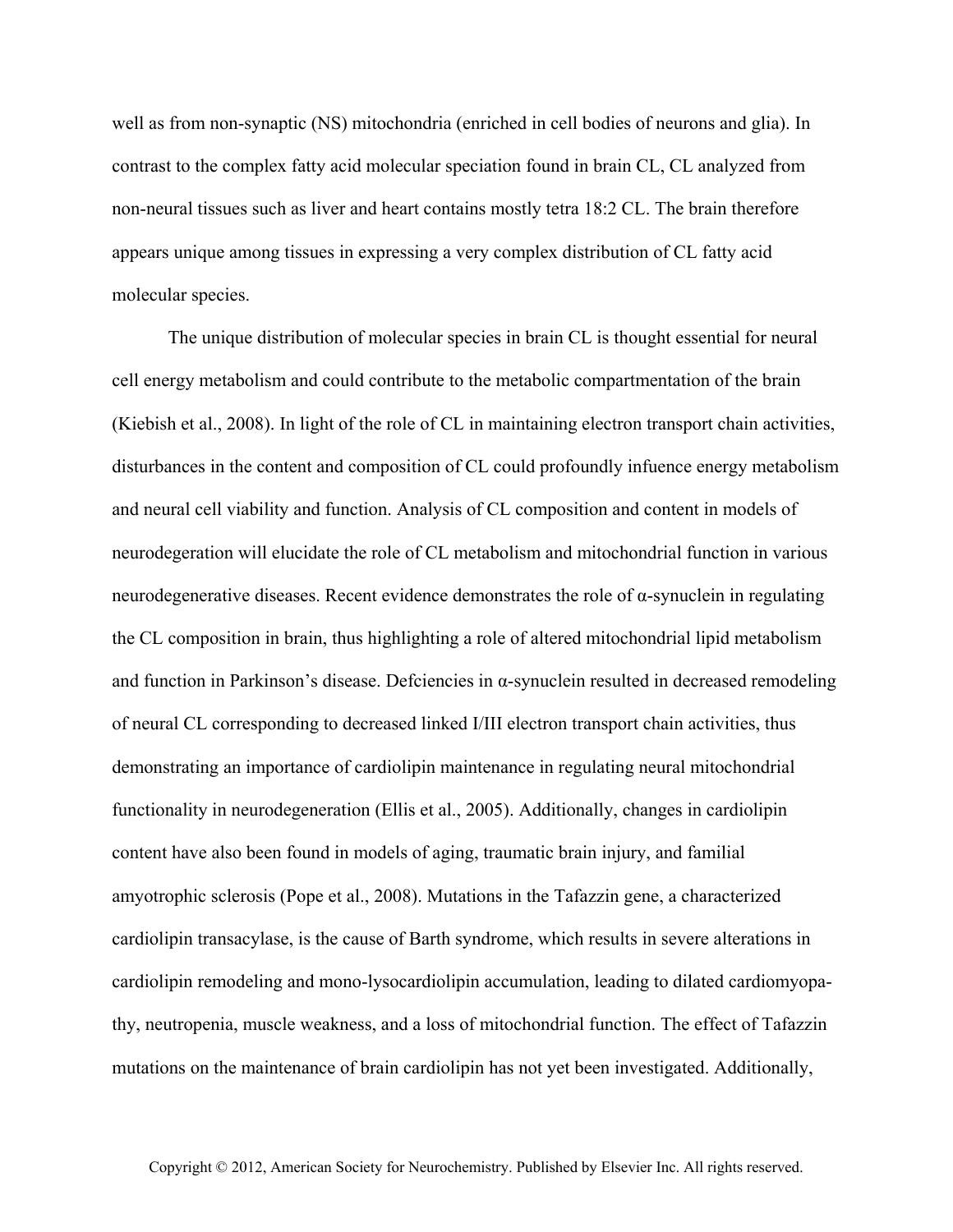well as from non-synaptic (NS) mitochondria (enriched in cell bodies of neurons and glia). In contrast to the complex fatty acid molecular speciation found in brain CL, CL analyzed from non-neural tissues such as liver and heart contains mostly tetra 18:2 CL. The brain therefore appears unique among tissues in expressing a very complex distribution of CL fatty acid molecular species.

The unique distribution of molecular species in brain CL is thought essential for neural cell energy metabolism and could contribute to the metabolic compartmentation of the brain (Kiebish et al., 2008). In light of the role of CL in maintaining electron transport chain activities, disturbances in the content and composition of CL could profoundly infuence energy metabolism and neural cell viability and function. Analysis of CL composition and content in models of neurodegeration will elucidate the role of CL metabolism and mitochondrial function in various neurodegenerative diseases. Recent evidence demonstrates the role of  $\alpha$ -synuclein in regulating the CL composition in brain, thus highlighting a role of altered mitochondrial lipid metabolism and function in Parkinson's disease. Defciencies in  $\alpha$ -synuclein resulted in decreased remodeling of neural CL corresponding to decreased linked I/III electron transport chain activities, thus demonstrating an importance of cardiolipin maintenance in regulating neural mitochondrial functionality in neurodegeneration (Ellis et al., 2005). Additionally, changes in cardiolipin content have also been found in models of aging, traumatic brain injury, and familial amyotrophic sclerosis (Pope et al., 2008). Mutations in the Tafazzin gene, a characterized cardiolipin transacylase, is the cause of Barth syndrome, which results in severe alterations in cardiolipin remodeling and mono-lysocardiolipin accumulation, leading to dilated cardiomyopathy, neutropenia, muscle weakness, and a loss of mitochondrial function. The effect of Tafazzin mutations on the maintenance of brain cardiolipin has not yet been investigated. Additionally,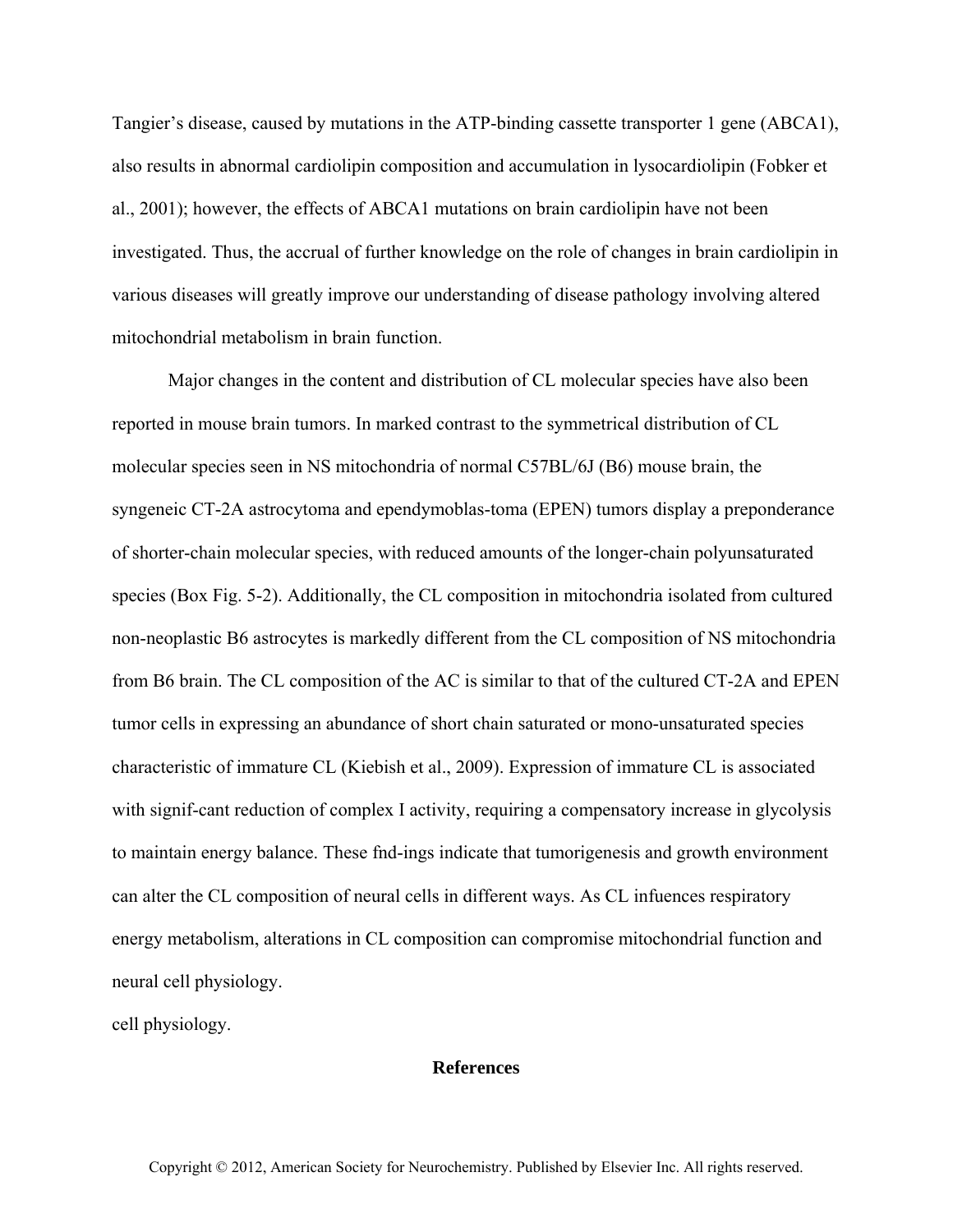Tangier's disease, caused by mutations in the ATP-binding cassette transporter 1 gene (ABCA1), also results in abnormal cardiolipin composition and accumulation in lysocardiolipin (Fobker et al., 2001); however, the effects of ABCA1 mutations on brain cardiolipin have not been investigated. Thus, the accrual of further knowledge on the role of changes in brain cardiolipin in various diseases will greatly improve our understanding of disease pathology involving altered mitochondrial metabolism in brain function.

Major changes in the content and distribution of CL molecular species have also been reported in mouse brain tumors. In marked contrast to the symmetrical distribution of CL molecular species seen in NS mitochondria of normal C57BL/6J (B6) mouse brain, the syngeneic CT-2A astrocytoma and ependymoblas-toma (EPEN) tumors display a preponderance of shorter-chain molecular species, with reduced amounts of the longer-chain polyunsaturated species (Box Fig. 5-2). Additionally, the CL composition in mitochondria isolated from cultured non-neoplastic B6 astrocytes is markedly different from the CL composition of NS mitochondria from B6 brain. The CL composition of the AC is similar to that of the cultured CT-2A and EPEN tumor cells in expressing an abundance of short chain saturated or mono-unsaturated species characteristic of immature CL (Kiebish et al., 2009). Expression of immature CL is associated with signif-cant reduction of complex I activity, requiring a compensatory increase in glycolysis to maintain energy balance. These fnd-ings indicate that tumorigenesis and growth environment can alter the CL composition of neural cells in different ways. As CL infuences respiratory energy metabolism, alterations in CL composition can compromise mitochondrial function and neural cell physiology.

cell physiology.

## **References**